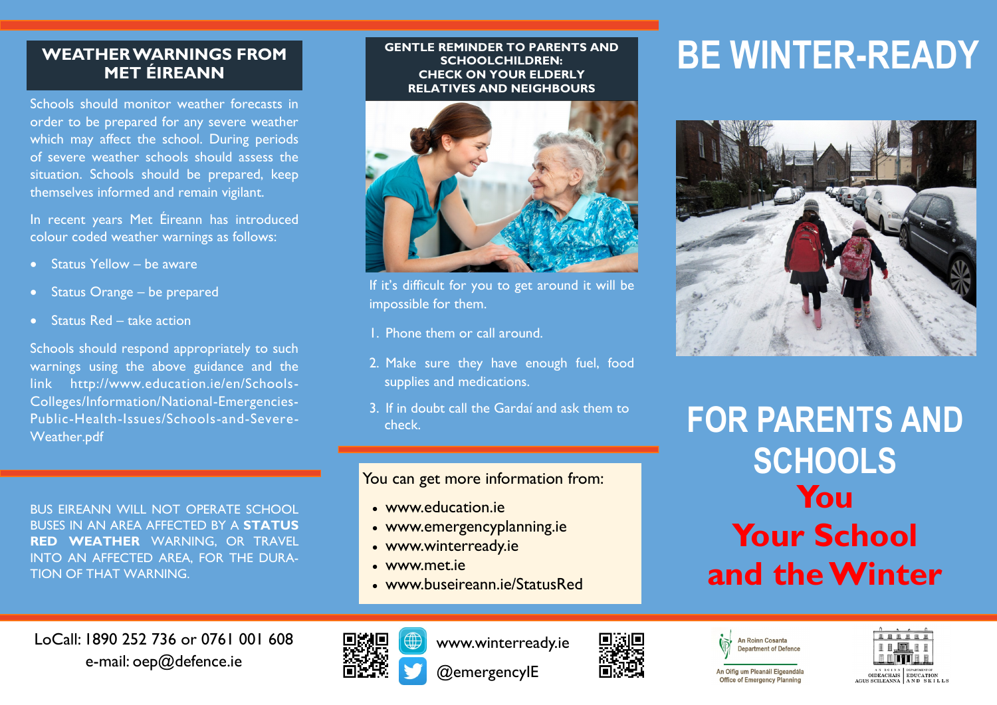### **WEATHER WARNINGS FROM MET ÉIREANN**

Schools should monitor weather forecasts in order to be prepared for any severe weather which may affect the school. During periods of severe weather schools should assess the situation. Schools should be prepared, keep themselves informed and remain vigilant.

In recent years Met Éireann has introduced colour coded weather warnings as follows:

- $\bullet$  Status Yellow be aware
- Status Orange be prepared
- Status Red take action

Schools should respond appropriately to such warnings using the above guidance and the link http://www.education.ie/en/Schools-Colleges/Information/National-Emergencies-Public-Health-Issues/Schools-and-Severe-Weather.pdf

BUS EIREANN WILL NOT OPERATE SCHOOL BUSES IN AN AREA AFFECTED BY A **STATUS RED WEATHER** WARNING, OR TRAVEL INTO AN AFFECTED AREA, FOR THE DURA-TION OF THAT WARNING.

#### **GENTLE REMINDER TO PARENTS AND SCHOOLCHILDREN: CHECK ON YOUR ELDERLY RELATIVES AND NEIGHBOURS**



If it's difficult for you to get around it will be impossible for them.

- 1. Phone them or call around.
- 2. Make sure they have enough fuel, food supplies and medications.
- 3. If in doubt call the Gardaí and ask them to check.

#### You can get more information from:

- [www.education.ie](http://www.agriculture.gov.ie)
- [www.emergencyplanning.ie](http://www.winterready.ie)
- www.winterready.ie
- [www.met.ie](http://www.met.ie)
- www.buseireann.ie/StatusRed

# **BE WINTER-READY**



**FOR PARENTS AND SCHOOLS You Your School and the Winter**

LoCall: 1890 252 736 or 0761 001 608 e-mail: oep@defence.ie



www.winterready.ie

@emergencyIE







An Oifig um Pleanáil Eigeandála Office of Emergency Planning